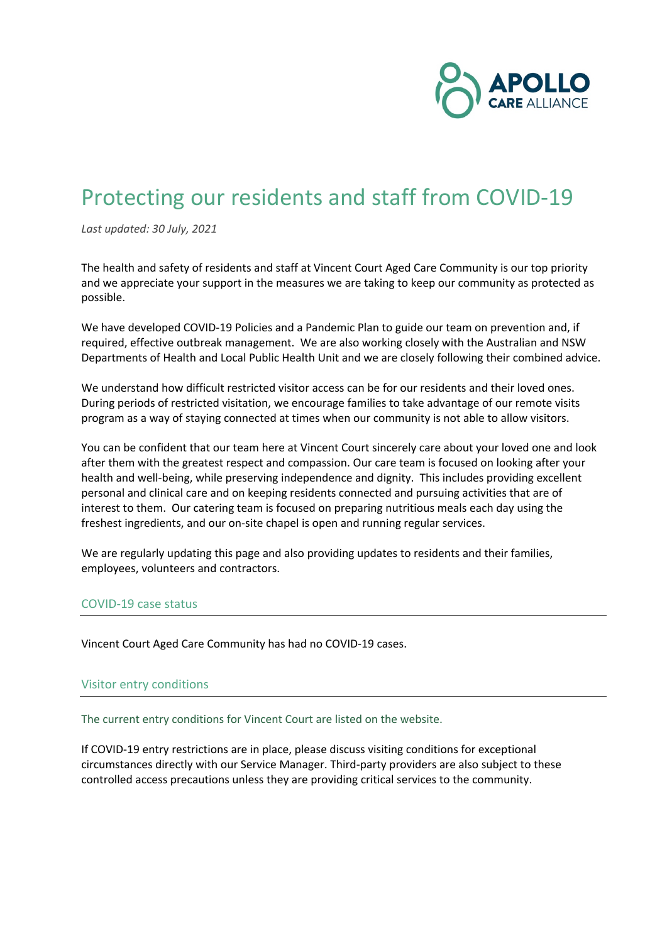

# Protecting our residents and staff from COVID-19

*Last updated: 30 July, 2021*

The health and safety of residents and staff at Vincent Court Aged Care Community is our top priority and we appreciate your support in the measures we are taking to keep our community as protected as possible.

We have developed COVID-19 Policies and a Pandemic Plan to guide our team on prevention and, if required, effective outbreak management. We are also working closely with the Australian and NSW Departments of Health and Local Public Health Unit and we are closely following their combined advice.

We understand how difficult restricted visitor access can be for our residents and their loved ones. During periods of restricted visitation, we encourage families to take advantage of our remote visits program as a way of staying connected at times when our community is not able to allow visitors.

You can be confident that our team here at Vincent Court sincerely care about your loved one and look after them with the greatest respect and compassion. Our care team is focused on looking after your health and well-being, while preserving independence and dignity. This includes providing excellent personal and clinical care and on keeping residents connected and pursuing activities that are of interest to them. Our catering team is focused on preparing nutritious meals each day using the freshest ingredients, and our on-site chapel is open and running regular services.

We are regularly updating this page and also providing updates to residents and their families, employees, volunteers and contractors.

#### COVID-19 case status

Vincent Court Aged Care Community has had no COVID-19 cases.

#### Visitor entry conditions

The current entry conditions for Vincent Court are listed on the website.

If COVID-19 entry restrictions are in place, please discuss visiting conditions for exceptional circumstances directly with our Service Manager. Third-party providers are also subject to these controlled access precautions unless they are providing critical services to the community.